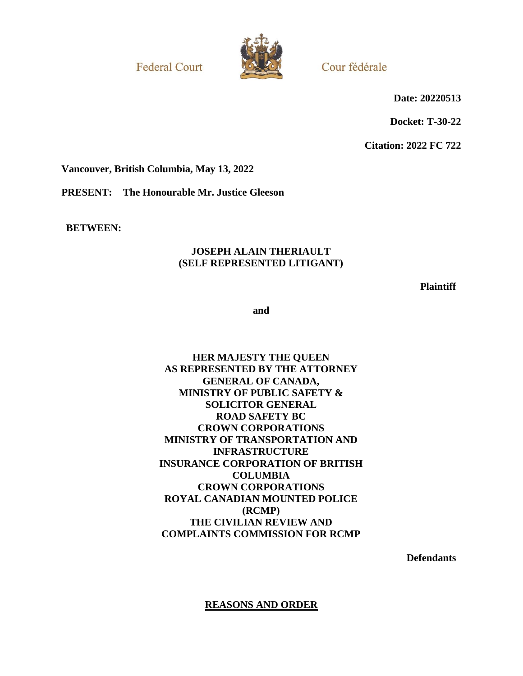**Federal Court** 



Cour fédérale

**Date: 20220513**

**Docket: T-30-22**

**Citation: 2022 FC 722**

**Vancouver, British Columbia, May 13, 2022**

**PRESENT: The Honourable Mr. Justice Gleeson**

**BETWEEN:**

## **JOSEPH ALAIN THERIAULT (SELF REPRESENTED LITIGANT)**

**Plaintiff**

**and**

# **HER MAJESTY THE QUEEN AS REPRESENTED BY THE ATTORNEY GENERAL OF CANADA, MINISTRY OF PUBLIC SAFETY & SOLICITOR GENERAL ROAD SAFETY BC CROWN CORPORATIONS MINISTRY OF TRANSPORTATION AND INFRASTRUCTURE INSURANCE CORPORATION OF BRITISH COLUMBIA CROWN CORPORATIONS ROYAL CANADIAN MOUNTED POLICE (RCMP) THE CIVILIAN REVIEW AND COMPLAINTS COMMISSION FOR RCMP**

**Defendants**

**REASONS AND ORDER**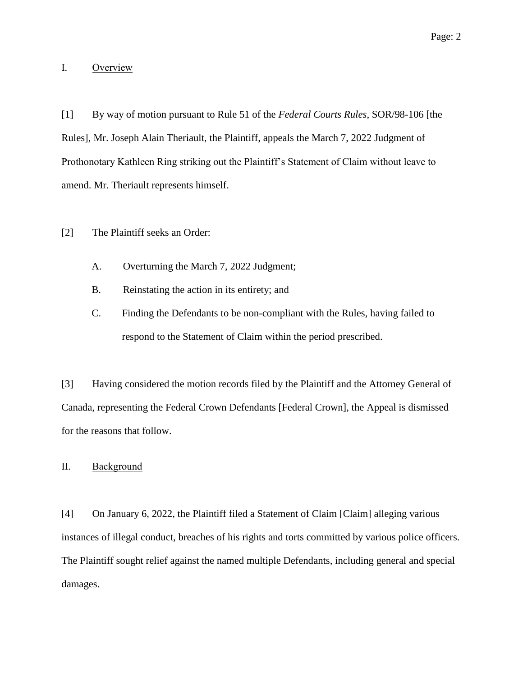### I. Overview

[1] By way of motion pursuant to Rule 51 of the *Federal Courts Rules*, SOR/98-106 [the Rules], Mr. Joseph Alain Theriault, the Plaintiff, appeals the March 7, 2022 Judgment of Prothonotary Kathleen Ring striking out the Plaintiff's Statement of Claim without leave to amend. Mr. Theriault represents himself.

#### [2] The Plaintiff seeks an Order:

- A. Overturning the March 7, 2022 Judgment;
- B. Reinstating the action in its entirety; and
- C. Finding the Defendants to be non-compliant with the Rules, having failed to respond to the Statement of Claim within the period prescribed.

[3] Having considered the motion records filed by the Plaintiff and the Attorney General of Canada, representing the Federal Crown Defendants [Federal Crown], the Appeal is dismissed for the reasons that follow.

### II. Background

[4] On January 6, 2022, the Plaintiff filed a Statement of Claim [Claim] alleging various instances of illegal conduct, breaches of his rights and torts committed by various police officers. The Plaintiff sought relief against the named multiple Defendants, including general and special damages.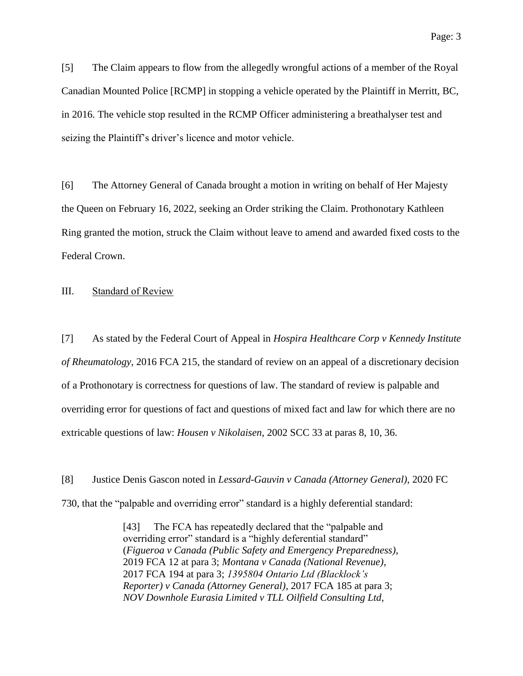[5] The Claim appears to flow from the allegedly wrongful actions of a member of the Royal Canadian Mounted Police [RCMP] in stopping a vehicle operated by the Plaintiff in Merritt, BC, in 2016. The vehicle stop resulted in the RCMP Officer administering a breathalyser test and seizing the Plaintiff's driver's licence and motor vehicle.

[6] The Attorney General of Canada brought a motion in writing on behalf of Her Majesty the Queen on February 16, 2022, seeking an Order striking the Claim. Prothonotary Kathleen Ring granted the motion, struck the Claim without leave to amend and awarded fixed costs to the Federal Crown.

#### III. Standard of Review

[7] As stated by the Federal Court of Appeal in *Hospira Healthcare Corp v Kennedy Institute of Rheumatology*, 2016 FCA 215, the standard of review on an appeal of a discretionary decision of a Prothonotary is correctness for questions of law. The standard of review is palpable and overriding error for questions of fact and questions of mixed fact and law for which there are no extricable questions of law: *Housen v Nikolaisen*, 2002 SCC 33 at paras 8, 10, 36.

[8] Justice Denis Gascon noted in *Lessard-Gauvin v Canada (Attorney General)*, 2020 FC 730, that the "palpable and overriding error" standard is a highly deferential standard:

> [43] The FCA has repeatedly declared that the "palpable and overriding error" standard is a "highly deferential standard" (*Figueroa v Canada (Public Safety and Emergency Preparedness)*, 2019 FCA 12 at para 3; *Montana v Canada (National Revenue)*, 2017 FCA 194 at para 3; *1395804 Ontario Ltd (Blacklock's Reporter) v Canada (Attorney General)*, 2017 FCA 185 at para 3; *NOV Downhole Eurasia Limited v TLL Oilfield Consulting Ltd,*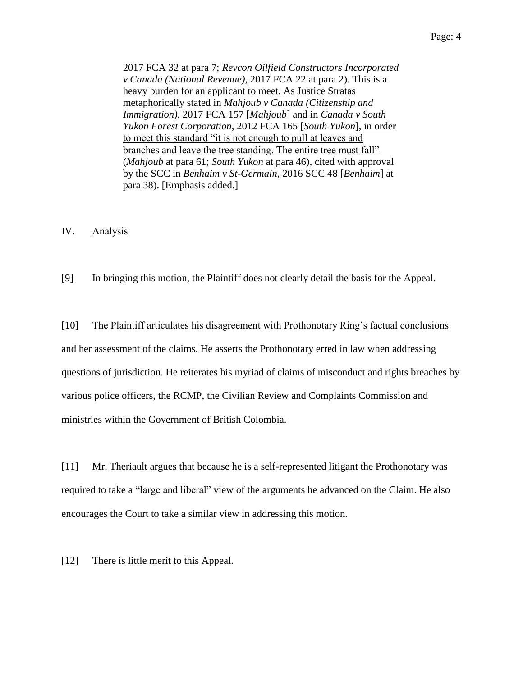Page: 4

2017 FCA 32 at para 7; *Revcon Oilfield Constructors Incorporated v Canada (National Revenue)*, 2017 FCA 22 at para 2). This is a heavy burden for an applicant to meet. As Justice Stratas metaphorically stated in *Mahjoub v Canada (Citizenship and Immigration)*, 2017 FCA 157 [*Mahjoub*] and in *Canada v South Yukon Forest Corporation*, 2012 FCA 165 [*South Yukon*], in order to meet this standard "it is not enough to pull at leaves and branches and leave the tree standing. The entire tree must fall" (*Mahjoub* at para 61; *South Yukon* at para 46), cited with approval by the SCC in *Benhaim v St-Germain*, 2016 SCC 48 [*Benhaim*] at para 38). [Emphasis added.]

## IV. Analysis

[9] In bringing this motion, the Plaintiff does not clearly detail the basis for the Appeal.

[10] The Plaintiff articulates his disagreement with Prothonotary Ring's factual conclusions and her assessment of the claims. He asserts the Prothonotary erred in law when addressing questions of jurisdiction. He reiterates his myriad of claims of misconduct and rights breaches by various police officers, the RCMP, the Civilian Review and Complaints Commission and ministries within the Government of British Colombia.

[11] Mr. Theriault argues that because he is a self-represented litigant the Prothonotary was required to take a "large and liberal" view of the arguments he advanced on the Claim. He also encourages the Court to take a similar view in addressing this motion.

[12] There is little merit to this Appeal.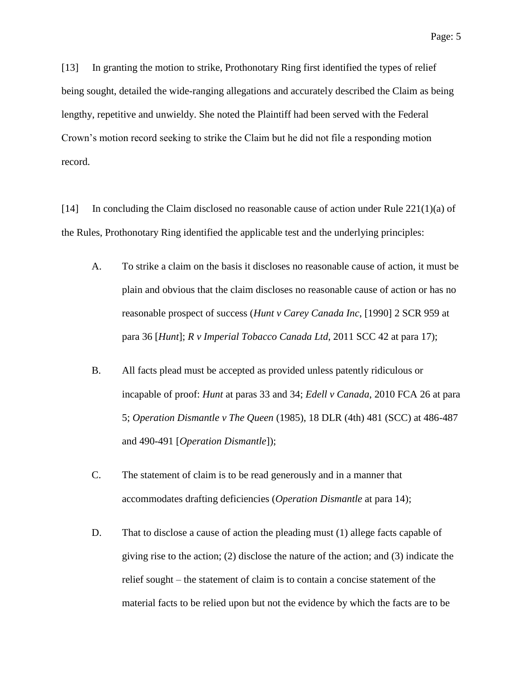[13] In granting the motion to strike, Prothonotary Ring first identified the types of relief being sought, detailed the wide-ranging allegations and accurately described the Claim as being lengthy, repetitive and unwieldy. She noted the Plaintiff had been served with the Federal Crown's motion record seeking to strike the Claim but he did not file a responding motion record.

[14] In concluding the Claim disclosed no reasonable cause of action under Rule 221(1)(a) of the Rules, Prothonotary Ring identified the applicable test and the underlying principles:

- A. To strike a claim on the basis it discloses no reasonable cause of action, it must be plain and obvious that the claim discloses no reasonable cause of action or has no reasonable prospect of success (*Hunt v Carey Canada Inc*, [1990] 2 SCR 959 at para 36 [*Hunt*]; *R v Imperial Tobacco Canada Ltd*, 2011 SCC 42 at para 17);
- B. All facts plead must be accepted as provided unless patently ridiculous or incapable of proof: *Hunt* at paras 33 and 34; *Edell v Canada*, 2010 FCA 26 at para 5; *Operation Dismantle v The Queen* (1985), 18 DLR (4th) 481 (SCC) at 486-487 and 490-491 [*Operation Dismantle*]);
- C. The statement of claim is to be read generously and in a manner that accommodates drafting deficiencies (*Operation Dismantle* at para 14);
- D. That to disclose a cause of action the pleading must (1) allege facts capable of giving rise to the action; (2) disclose the nature of the action; and (3) indicate the relief sought – the statement of claim is to contain a concise statement of the material facts to be relied upon but not the evidence by which the facts are to be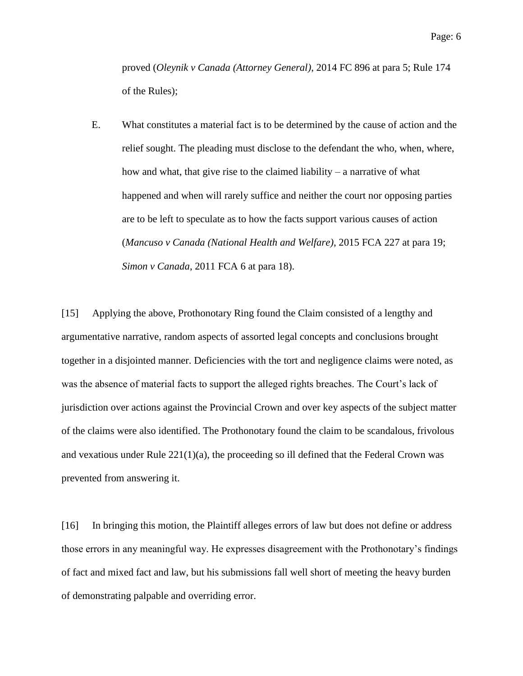proved (*Oleynik v Canada (Attorney General)*, 2014 FC 896 at para 5; Rule 174 of the Rules);

E. What constitutes a material fact is to be determined by the cause of action and the relief sought. The pleading must disclose to the defendant the who, when, where, how and what, that give rise to the claimed liability – a narrative of what happened and when will rarely suffice and neither the court nor opposing parties are to be left to speculate as to how the facts support various causes of action (*Mancuso v Canada (National Health and Welfare)*, 2015 FCA 227 at para 19; *Simon v Canada*, 2011 FCA 6 at para 18).

[15] Applying the above, Prothonotary Ring found the Claim consisted of a lengthy and argumentative narrative, random aspects of assorted legal concepts and conclusions brought together in a disjointed manner. Deficiencies with the tort and negligence claims were noted, as was the absence of material facts to support the alleged rights breaches. The Court's lack of jurisdiction over actions against the Provincial Crown and over key aspects of the subject matter of the claims were also identified. The Prothonotary found the claim to be scandalous, frivolous and vexatious under Rule  $221(1)(a)$ , the proceeding so ill defined that the Federal Crown was prevented from answering it.

[16] In bringing this motion, the Plaintiff alleges errors of law but does not define or address those errors in any meaningful way. He expresses disagreement with the Prothonotary's findings of fact and mixed fact and law, but his submissions fall well short of meeting the heavy burden of demonstrating palpable and overriding error.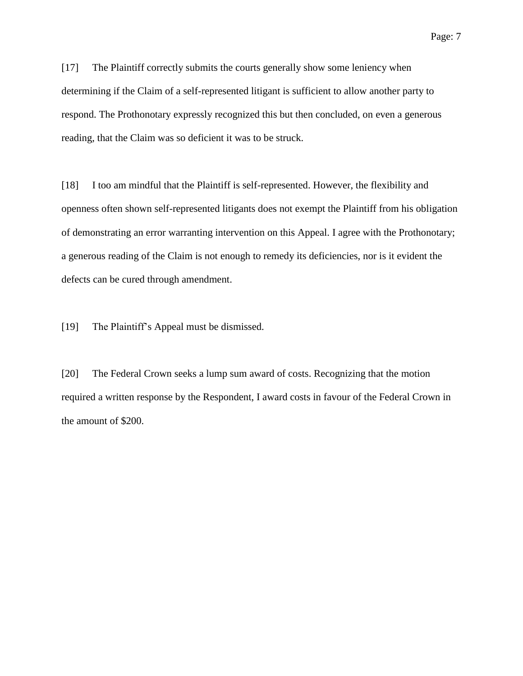[17] The Plaintiff correctly submits the courts generally show some leniency when determining if the Claim of a self-represented litigant is sufficient to allow another party to respond. The Prothonotary expressly recognized this but then concluded, on even a generous reading, that the Claim was so deficient it was to be struck.

[18] I too am mindful that the Plaintiff is self-represented. However, the flexibility and openness often shown self-represented litigants does not exempt the Plaintiff from his obligation of demonstrating an error warranting intervention on this Appeal. I agree with the Prothonotary; a generous reading of the Claim is not enough to remedy its deficiencies, nor is it evident the defects can be cured through amendment.

[19] The Plaintiff's Appeal must be dismissed.

[20] The Federal Crown seeks a lump sum award of costs. Recognizing that the motion required a written response by the Respondent, I award costs in favour of the Federal Crown in the amount of \$200.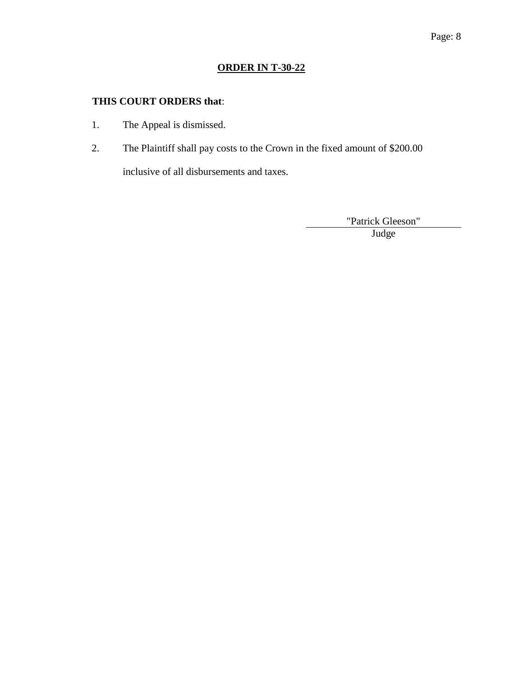# **ORDER IN T-30-22**

# **THIS COURT ORDERS that**:

- 1. The Appeal is dismissed.
- 2. The Plaintiff shall pay costs to the Crown in the fixed amount of \$200.00

inclusive of all disbursements and taxes.

"Patrick Gleeson"

Blank Judge and Sunday and Sunday and Sunday and Sunday and Sunday and Sunday and Sunday and Sunday and Sunday